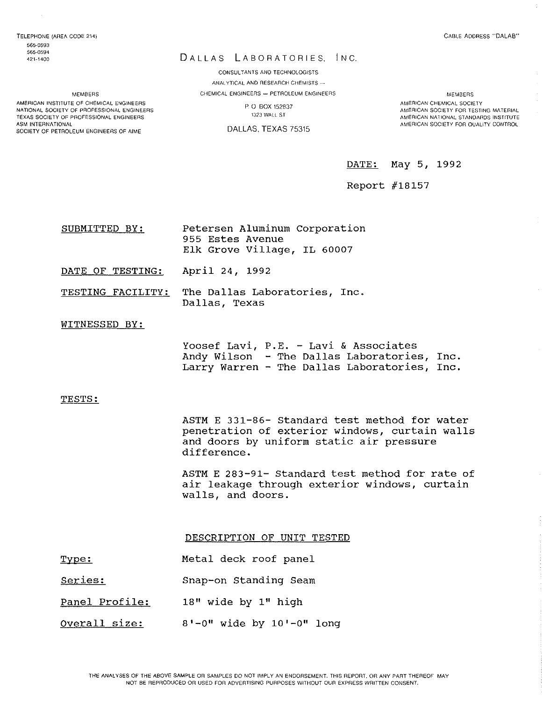ASM INTERNATIONAL

MEMBERS AMERICAN INSTITUTE OF CHEMICAL ENGINEERS NATIONAL SOCIETY OF PROFESSIONAL ENGINEERS TEXAS SOCIETY OF PROFESSIONAL ENGINEERS

SOCIETY OF PETROLEUM ENGINEERS OF AIME

## DALLAS LABORATORIES, INC.

CONSULTANTS AND TECHNOLOGISTS ANALYTICAL AND RESEARCH CHEMISTS -CHEMICAL ENGINEERS - PETROLEUM ENGINEERS

> P. O. BOX 152837 1323 WAll ST

DALLAS, TEXAS 75315

MEMBERS AMERICAN CHEMICAL SOCIETY AMERICAN SOCIETY FOR TESTING MATERIAL AMERICAN NATIONAL STANDARDS INSTITUTE AMERICAN SOCIETY FOR QUAUTY CONTROL

DATE: May 5, 1992

Report #18157

| SUBMITTED BY:                   | Petersen Aluminum Corporation<br>955 Estes Avenue<br>Elk Grove Village, IL 60007 |
|---------------------------------|----------------------------------------------------------------------------------|
| DATE OF TESTING: April 24, 1992 |                                                                                  |
|                                 | TESTING FACILITY: The Dallas Laboratories, Inc.<br>Dallas, Texas                 |

### WITNESSED BY:

Yoosef Lavi, P.E. - Lavi & Associates Andy Wilson - The Dallas Laboratories, Inc. Larry Warren - The Dallas Laboratories, Inc.

#### TESTS:

ASTM E 331-86- Standard test method for water penetration of exterior windows, curtain walls and doors by uniform static air pressure difference.

ASTM E 283-91- Standard test method for rate of air leakage through exterior windows, curtain walls, and doors.

DESCRIPTION OF UNIT TESTED

- Type: Metal deck roof panel
- Series: Snap-on Standing Seam
- Panel Profile: 18" wide by 1" high
- Overall size:  $8'$ -0" wide by  $10'$ -0" long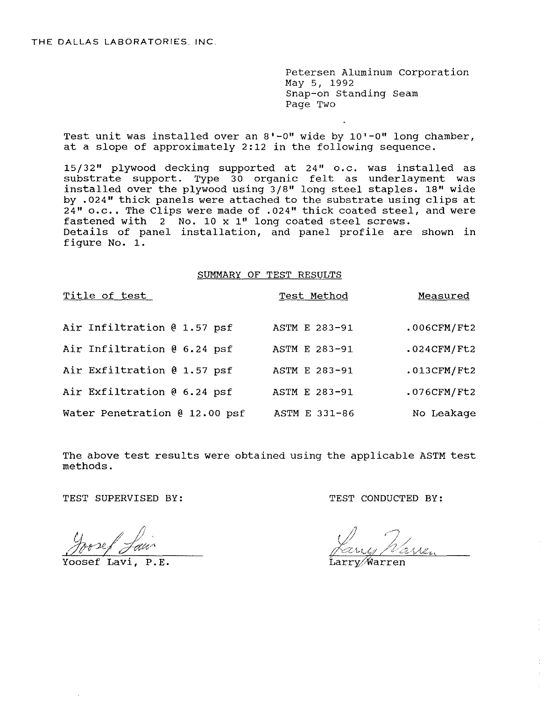Petersen Aluminum Corporation May 5, 1992 Snap-on Standing Seam Page Two

Test unit was installed over an 8'-0" wide by 10'-0" long chamber, at a slope of approximately 2:12 in the following sequence.

15/32" plywood decking supported at 24" o.c. was installed as substrate support. Type 30 organic felt as underlayment was installed over the plywood using 3/8" long steel staples. 18" wide by .024" thick panels were attached to the substrate using clips at  $24"$  o.c.. The Clips were made of .024" thick coated steel, and were fastened with 2 No. 10 x 1" long coated steel screws. Details of panel installation, and panel profile are shown in figure No. 1.

### SUMMARY OF TEST RESULTS

| Title of test                 | Test Method   | Measured       |
|-------------------------------|---------------|----------------|
| Air Infiltration @ 1.57 psf   | ASTM E 283-91 | $.006$ CFM/Ft2 |
| Air Infiltration @ 6.24 psf   | ASTM E 283-91 | $.024$ CFM/Ft2 |
| Air Exfiltration @ 1.57 psf   | ASTM E 283-91 | $.013$ CFM/Ft2 |
| Air Exfiltration @ 6.24 psf   | ASTM E 283-91 | .076CFM/Ft2    |
| Water Penetration @ 12.00 psf | ASTM E 331-86 | No Leakage     |

The above test results were obtained using the applicable ASTM test methods.

Yoosef Lavi, P.E.

TEST SUPERVISED BY: TEST CONDUCTED BY:

Warren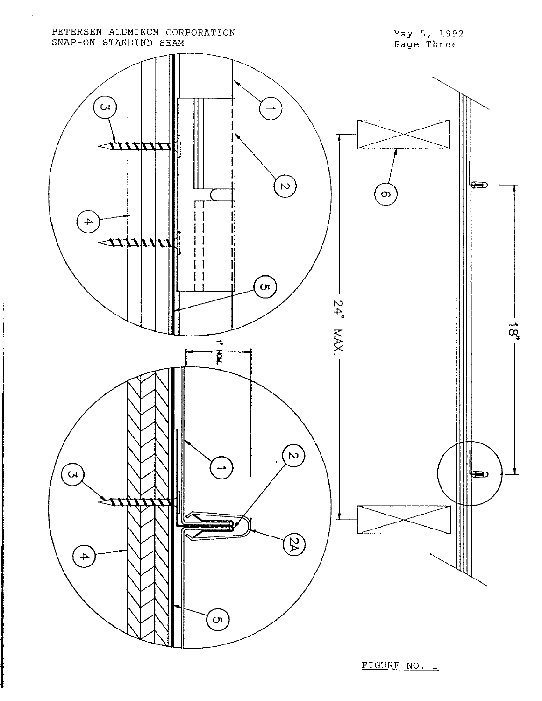

ţ

FIGURE **NO.1**